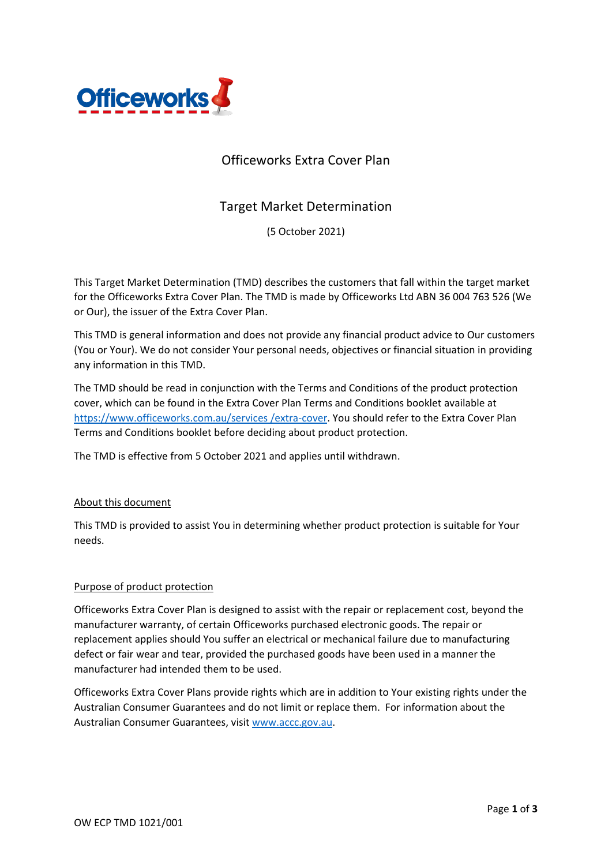

# Officeworks Extra Cover Plan

## Target Market Determination

(5 October 2021)

This Target Market Determination (TMD) describes the customers that fall within the target market for the Officeworks Extra Cover Plan. The TMD is made by Officeworks Ltd ABN 36 004 763 526 (We or Our), the issuer of the Extra Cover Plan.

This TMD is general information and does not provide any financial product advice to Our customers (You or Your). We do not consider Your personal needs, objectives or financial situation in providing any information in this TMD.

The TMD should be read in conjunction with the Terms and Conditions of the product protection cover, which can be found in the Extra Cover Plan Terms and Conditions booklet available at [https://www.officeworks.com.au/services](https://www.officeworks.com.au/services%20/extra-cover) /extra-cover. You should refer to the Extra Cover Plan Terms and Conditions booklet before deciding about product protection.

The TMD is effective from 5 October 2021 and applies until withdrawn.

## About this document

This TMD is provided to assist You in determining whether product protection is suitable for Your needs.

## Purpose of product protection

Officeworks Extra Cover Plan is designed to assist with the repair or replacement cost, beyond the manufacturer warranty, of certain Officeworks purchased electronic goods. The repair or replacement applies should You suffer an electrical or mechanical failure due to manufacturing defect or fair wear and tear, provided the purchased goods have been used in a manner the manufacturer had intended them to be used.

Officeworks Extra Cover Plans provide rights which are in addition to Your existing rights under the Australian Consumer Guarantees and do not limit or replace them. For information about the Australian Consumer Guarantees, visit [www.accc.gov.au.](http://www.accc.gov.au/)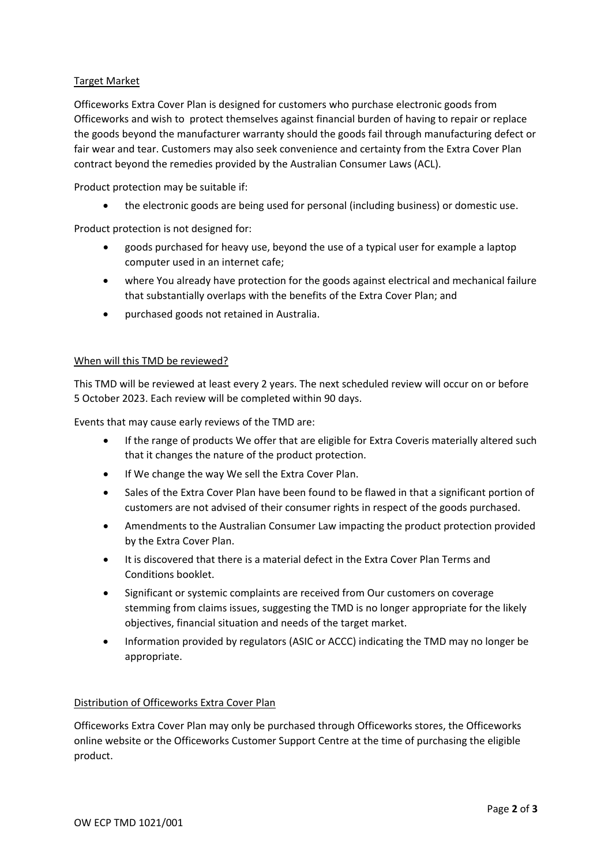## Target Market

Officeworks Extra Cover Plan is designed for customers who purchase electronic goods from Officeworks and wish to protect themselves against financial burden of having to repair or replace the goods beyond the manufacturer warranty should the goods fail through manufacturing defect or fair wear and tear. Customers may also seek convenience and certainty from the Extra Cover Plan contract beyond the remedies provided by the Australian Consumer Laws (ACL).

Product protection may be suitable if:

• the electronic goods are being used for personal (including business) or domestic use.

Product protection is not designed for:

- goods purchased for heavy use, beyond the use of a typical user for example a laptop computer used in an internet cafe;
- where You already have protection for the goods against electrical and mechanical failure that substantially overlaps with the benefits of the Extra Cover Plan; and
- purchased goods not retained in Australia.

## When will this TMD be reviewed?

This TMD will be reviewed at least every 2 years. The next scheduled review will occur on or before 5 October 2023. Each review will be completed within 90 days.

Events that may cause early reviews of the TMD are:

- If the range of products We offer that are eligible for Extra Coveris materially altered such that it changes the nature of the product protection.
- If We change the way We sell the Extra Cover Plan.
- Sales of the Extra Cover Plan have been found to be flawed in that a significant portion of customers are not advised of their consumer rights in respect of the goods purchased.
- Amendments to the Australian Consumer Law impacting the product protection provided by the Extra Cover Plan.
- It is discovered that there is a material defect in the Extra Cover Plan Terms and Conditions booklet.
- Significant or systemic complaints are received from Our customers on coverage stemming from claims issues, suggesting the TMD is no longer appropriate for the likely objectives, financial situation and needs of the target market.
- Information provided by regulators (ASIC or ACCC) indicating the TMD may no longer be appropriate.

## Distribution of Officeworks Extra Cover Plan

Officeworks Extra Cover Plan may only be purchased through Officeworks stores, the Officeworks online website or the Officeworks Customer Support Centre at the time of purchasing the eligible product.